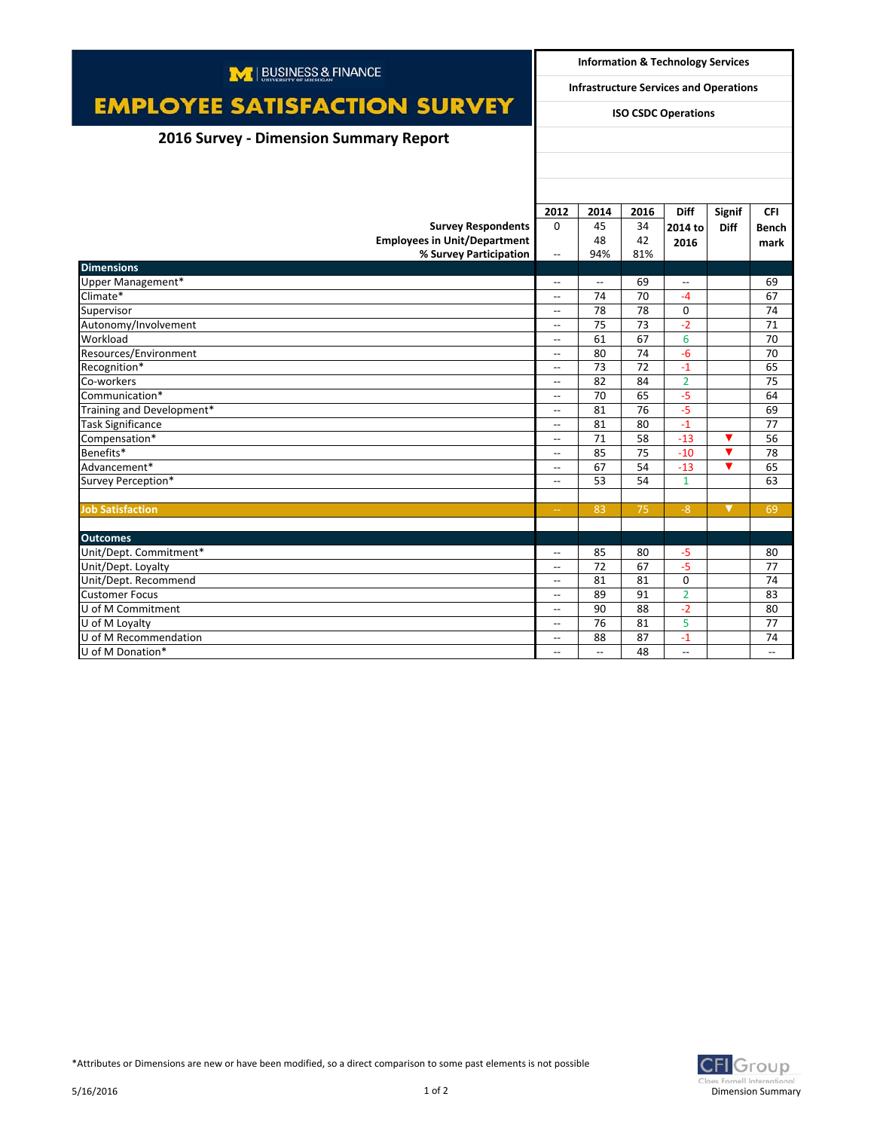| M   BUSINESS & FINANCE                 |                                                                             | <b>Information &amp; Technology Services</b> |      |                          |               |              |  |
|----------------------------------------|-----------------------------------------------------------------------------|----------------------------------------------|------|--------------------------|---------------|--------------|--|
|                                        | <b>Infrastructure Services and Operations</b><br><b>ISO CSDC Operations</b> |                                              |      |                          |               |              |  |
| <b>EMPLOYEE SATISFACTION SURVEY</b>    |                                                                             |                                              |      |                          |               |              |  |
| 2016 Survey - Dimension Summary Report |                                                                             |                                              |      |                          |               |              |  |
|                                        |                                                                             |                                              |      |                          |               |              |  |
|                                        |                                                                             |                                              |      |                          |               |              |  |
|                                        |                                                                             |                                              |      |                          |               |              |  |
|                                        | 2012                                                                        | 2014                                         | 2016 | <b>Diff</b>              | <b>Signif</b> | <b>CFI</b>   |  |
| <b>Survey Respondents</b>              | $\Omega$                                                                    | 45                                           | 34   | 2014 to                  | <b>Diff</b>   | <b>Bench</b> |  |
| <b>Employees in Unit/Department</b>    |                                                                             | 48                                           | 42   | 2016                     |               | mark         |  |
| % Survey Participation                 | $\overline{\phantom{a}}$                                                    | 94%                                          | 81%  |                          |               |              |  |
| <b>Dimensions</b>                      |                                                                             |                                              |      |                          |               |              |  |
| Upper Management*                      | $\overline{\phantom{a}}$                                                    | $\overline{\phantom{a}}$                     | 69   | $\overline{\phantom{0}}$ |               | 69           |  |
| Climate*                               | $\overline{\phantom{a}}$                                                    | 74                                           | 70   | $-4$                     |               | 67           |  |
| Supervisor                             | $\overline{\phantom{a}}$                                                    | 78                                           | 78   | $\mathbf 0$              |               | 74           |  |
| Autonomy/Involvement                   | $\overline{\phantom{a}}$                                                    | 75                                           | 73   | $-2$                     |               | 71           |  |
| Workload                               | $\overline{\phantom{a}}$                                                    | 61                                           | 67   | 6                        |               | 70           |  |
| Resources/Environment                  | $\overline{\phantom{a}}$                                                    | 80                                           | 74   | $-6$                     |               | 70           |  |
| Recognition*                           | $\overline{a}$                                                              | 73                                           | 72   | $-1$                     |               | 65           |  |
| Co-workers                             | $\overline{\phantom{a}}$                                                    | 82                                           | 84   | $\overline{2}$           |               | 75           |  |
| Communication*                         | $\overline{\phantom{a}}$                                                    | 70                                           | 65   | $-5$                     |               | 64           |  |
| Training and Development*              | $\overline{\phantom{a}}$                                                    | 81                                           | 76   | $-5$                     |               | 69           |  |
| <b>Task Significance</b>               | $\overline{\phantom{a}}$                                                    | 81                                           | 80   | $-1$                     |               | 77           |  |
| Compensation*                          | $\overline{\phantom{a}}$                                                    | 71                                           | 58   | $-13$                    | ▼             | 56           |  |
| Benefits*                              | $\overline{\phantom{a}}$                                                    | 85                                           | 75   | $-10$                    | ▼             | 78           |  |
| Advancement*                           | $\overline{\phantom{a}}$                                                    | 67                                           | 54   | $-13$                    | ▼             | 65           |  |
| Survey Perception*                     | $\overline{\phantom{a}}$                                                    | 53                                           | 54   | $\mathbf{1}$             |               | 63           |  |
|                                        |                                                                             |                                              |      |                          |               |              |  |
| <b>Job Satisfaction</b>                | $\rightarrow$                                                               | 83                                           | 75   | $-8$                     | ▼             | 69           |  |
|                                        |                                                                             |                                              |      |                          |               |              |  |
| <b>Outcomes</b>                        |                                                                             |                                              |      |                          |               |              |  |
| Unit/Dept. Commitment*                 | $\overline{\phantom{a}}$                                                    | 85                                           | 80   | $-5$                     |               | 80           |  |
| Unit/Dept. Loyalty                     | $\overline{\phantom{a}}$                                                    | 72                                           | 67   | $-5$                     |               | 77           |  |
| Unit/Dept. Recommend                   | $\overline{\phantom{a}}$                                                    | 81                                           | 81   | $\Omega$                 |               | 74           |  |
| <b>Customer Focus</b>                  | $\overline{\phantom{a}}$                                                    | 89                                           | 91   | $\overline{2}$           |               | 83           |  |
| U of M Commitment                      | $\overline{\phantom{0}}$                                                    | 90                                           | 88   | $-2$                     |               | 80           |  |
| U of M Loyalty                         | $\overline{\phantom{a}}$                                                    | 76                                           | 81   | 5                        |               | 77           |  |
| U of M Recommendation                  | $\overline{\phantom{a}}$                                                    | 88                                           | 87   | $-1$                     |               | 74           |  |
| U of M Donation*                       | $-$                                                                         | $\overline{\phantom{a}}$                     | 48   | $\overline{\phantom{a}}$ |               | $-$          |  |



\*Attributes or Dimensions are new or have been modified, so a direct comparison to some past elements is not possible